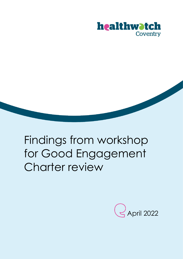

# Findings from workshop for Good Engagement Charter review

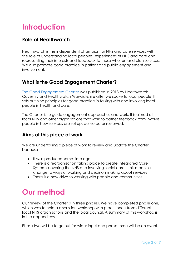# **Introduction**

## **Role of Healthwatch**

Healthwatch is the independent champion for NHS and care services with the role of understanding local peoples' experiences of NHS and care and representing their interests and feedback to those who run and plan services. We also promote good practice in patient and public engagement and involvement.

### **What is the Good Engagement Charter?**

[The Good Engagement Charter](https://www.healthwatchcoventry.co.uk/report/2013-12-10/good-engagement-charter) was published in 2013 by Healthwatch Coventry and Healthwatch Warwickshire after we spoke to local people. It sets out nine principles for good practice in talking with and involving local people in health and care.

The Charter is to guide engagement approaches and work. It is aimed at local NHS and other organisations that work to gather feedback from involve people in how services are set up, delivered or reviewed.

## **Aims of this piece of work**

We are undertaking a piece of work to review and update the Charter because

- It was produced some time ago
- There is a reorganisation taking place to create Integrated Care Systems covering the NHS and involving social care – this means a change to ways of working and decision making about services
- There is a new drive to working with people and communities

# **Our method**

Our review of the Charter is in three phases. We have completed phase one, which was to hold a discussion workshop with practitioners from different local NHS organisations and the local council. A summary of this workshop is in the appendices.

Phase two will be to go out for wider input and phase three will be an event.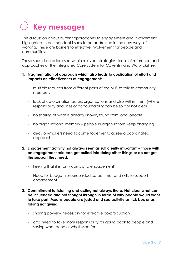# **Key messages**

The discussion about current approaches to engagement and involvement highlighted three important issues to be addressed in the new ways of working. These are barriers to effective involvement for people and communities.

These should be addressed within relevant strategies, terms of reference and approaches of the Integrated Care System for Coventry and Warwickshire:

- **1. Fragmentation of approach which also leads to duplication of effort and impacts on effectiveness of engagement:**
	- multiple requests from different parts of the NHS to talk to community members
	- lack of co-ordination across organisations and also within them (where responsibility and lines of accountability can be split or not clear)
	- no sharing of what is already known/found from local people
	- no organisational memory people in organisations keep changing
	- decision-makers need to come together to agree a coordinated approach.
- **2. Engagement activity not always seen as sufficiently important – those with an engagement role can get pulled into doing other things or do not get the support they need:**
	- Feeling that it is 'only coms and engagement'
	- Need for budget, resource (dedicated time) and skills to support engagement
- **3. Commitment to listening and acting not always there. Not clear what can be influenced and not thought through in terms of why people would want to take part. Means people are jaded and see activity as tick box or as taking not giving:**
	- sharing power necessary for effective co-production
	- orgs need to take more responsibility for going back to people and saying what done or what used for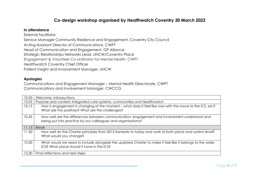### **Co-design workshop organised by Healthwatch Coventry 30 March 2022**

#### **In attendance**

External facilitator Service Manager Community Resilience and Engagement, Coventry City Council Acting Assistant Director of Communications, CWPT Head of Communication and Engagement, GP Alliance Strategic Relationships Networks Lead, UHCW/Coventry Place Engagement & Volunteer Co-ordinator for Mental Health, CWPT Healthwatch Coventry Chief Officer Patient Insight and Involvement Manager, UHCW

#### **Apologies**

Communications and Engagement Manager – Mental Health Directorate, CWPT Communications and Involvement Manager, CWCCG

| 10.00 | Welcome, introductions                                                                                                                                        |  |  |
|-------|---------------------------------------------------------------------------------------------------------------------------------------------------------------|--|--|
| 10.05 | Purpose and context: Integrated care systems, communities and Healthwatch                                                                                     |  |  |
| 10.15 | How is engagement is changing at the moment – what does it feel like now with the move to the ICS, etc?<br>What are the positives? What are the challenges?   |  |  |
| 10.45 | How well are the differences between communication, engagement and involvement understood and<br>being put into practice by our colleagues and organisations? |  |  |
| 11.15 | <b>Break</b>                                                                                                                                                  |  |  |
| 11.30 | How well do the Charter principles from 2013 translate to today and work at both place and system level?<br>What would you change?                            |  |  |
| 12.00 | What would we need to include alongside the updated Charter to make it feel like it belongs to the wider<br>ICS? What place should it have in the ICS?        |  |  |
| 12.30 | Final reflections and next steps                                                                                                                              |  |  |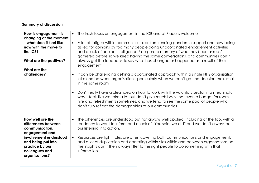### **Summary of discussion**

| How is engagement is<br>changing at the moment | The fresh focus on engagement in the ICB and at Place is welcome                                                                                                                                                                                                                                                                          |
|------------------------------------------------|-------------------------------------------------------------------------------------------------------------------------------------------------------------------------------------------------------------------------------------------------------------------------------------------------------------------------------------------|
| - what does it feel like                       | A lot of fatigue within communities tired from running pandemic support and now being                                                                                                                                                                                                                                                     |
| now with the move to<br>the ICS?               | asked for opinions by too many people doing uncoordinated engagement activities<br>and a lack of pooled intelligence / corporate memory of what has been asked /<br>gathered before so we keep having the same conversations, and communities don't                                                                                       |
| What are the positives?                        | always get the feedback to say what has changed or happened as a result of their<br>engagement                                                                                                                                                                                                                                            |
| What are the                                   |                                                                                                                                                                                                                                                                                                                                           |
| challenges?                                    | It can be challenging getting a coordinated approach within a single NHS organization,<br>let alone between organisations, particularly when we can't get the decision-makers all<br>in the same room                                                                                                                                     |
|                                                | Don't really have a clear idea on how to work with the voluntary sector in a meaningful<br>$\bullet$<br>way – feels like we take a lot but don't give much back, not even a budget for room<br>hire and refreshments sometimes, and we tend to see the same pool of people who<br>don't fully reflect the demographics of our communities |
| How well are the                               | The differences are understood but not always well applied, including at the top, with a                                                                                                                                                                                                                                                  |
| differences between                            | tendency to want to inform and a lack of "You said, we did" and we don't always put                                                                                                                                                                                                                                                       |
| communication,                                 | our listening into action.                                                                                                                                                                                                                                                                                                                |
| engagement and                                 |                                                                                                                                                                                                                                                                                                                                           |
| involvement understood                         | Resources are fight, roles are often covering both communications and engagement,                                                                                                                                                                                                                                                         |
| and being put into                             | and a lot of duplication and operating within silos within and between organisations, so                                                                                                                                                                                                                                                  |
| practice by our<br>colleagues and              | the insights don't then always filter to the right people to do something with that<br>information.                                                                                                                                                                                                                                       |
| organisations?                                 |                                                                                                                                                                                                                                                                                                                                           |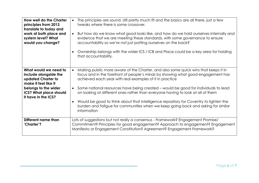| <b>How well do the Charter</b><br>principles from 2013<br>translate to today and<br>work at both place and<br>system level? What<br>would you change?                        | The principles are sound, still pretty much fit and the basics are all there, just a few<br>tweaks where there is some crossover.<br>• But how do we know what good looks like, and how do we hold ourselves internally and<br>evidence that we are meeting these standards, with some governance to ensure<br>accountability so we're not just patting ourselves on the back?<br>Ownership belongs with the wider ICS / ICB and Place could be a key area for holding<br>that accountability.                                                                                                            |
|------------------------------------------------------------------------------------------------------------------------------------------------------------------------------|-----------------------------------------------------------------------------------------------------------------------------------------------------------------------------------------------------------------------------------------------------------------------------------------------------------------------------------------------------------------------------------------------------------------------------------------------------------------------------------------------------------------------------------------------------------------------------------------------------------|
| What would we need to<br>include alongside the<br>updated Charter to<br>make it feel like it<br>belongs to the wider<br><b>ICS? What place should</b><br>it have in the ICS? | Making public more aware of the Charter, and also some quick wins that keeps it in<br>focus and in the forefront of people's minds by showing what good engagement has<br>achieved each year with real examples of it in practice<br>• Some national resources have being created – would be good for individuals to lead<br>on looking at different ones rather than everyone having to look at all of them<br>Would be good to think about that intelligence repository for Coventry to lighten the<br>burden and fatigue for communities when we keep going back and asking for similar<br>information |
| Different name than<br>'Charter'?                                                                                                                                            | Lots of suggestions but not really a consensus - Framework? Engagement Promise/<br>Commitment? Principles for good engagement? Approach to engagement? Engagement<br>Manifesto or Engagement Constitution? Agreement? Engagement Framework?                                                                                                                                                                                                                                                                                                                                                               |